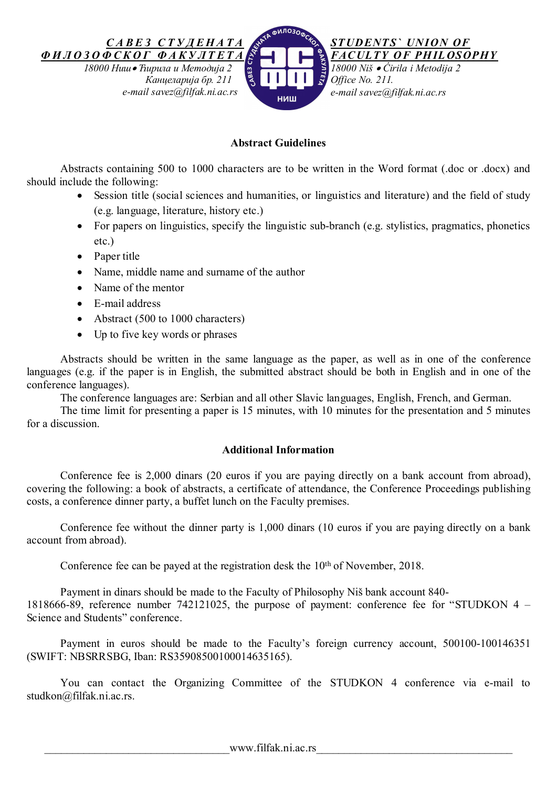

# **Abstract Guidelines**

Abstracts containing 500 to 1000 characters are to be written in the Word format (.doc or .docx) and should include the following:

- Session title (social sciences and humanities, or linguistics and literature) and the field of study (e.g. language, literature, history etc.)
- For papers on linguistics, specify the linguistic sub-branch (e.g. stylistics, pragmatics, phonetics etc.)
- Paper title
- Name, middle name and surname of the author
- Name of the mentor
- E-mail address
- Abstract (500 to 1000 characters)
- Up to five key words or phrases

Abstracts should be written in the same language as the paper, as well as in one of the conference languages (e.g. if the paper is in English, the submitted abstract should be both in English and in one of the conference languages).

The conference languages are: Serbian and all other Slavic languages, English, French, and German.

The time limit for presenting a paper is 15 minutes, with 10 minutes for the presentation and 5 minutes for a discussion.

## **Additional Information**

Conference fee is 2,000 dinars (20 euros if you are paying directly on a bank account from abroad), covering the following: a book of abstracts, a certificate of attendance, the Conference Proceedings publishing costs, a conference dinner party, a buffet lunch on the Faculty premises.

Conference fee without the dinner party is 1,000 dinars (10 euros if you are paying directly on a bank account from abroad).

Conference fee can be payed at the registration desk the 10<sup>th</sup> of November, 2018.

Payment in dinars should be made to the Faculty of Philosophy Niš bank account 840- 1818666-89, reference number 742121025, the purpose of payment: conference fee for "STUDKON 4 – Science and Students" conference.

Payment in euros should be made to the Faculty's foreign currency account, 500100-100146351 (SWIFT: NBSRRSBG, Iban: RS35908500100014635165).

You can contact the Organizing Committee of the STUDKON 4 conference via e-mail to studkon@filfak.ni.ac.rs.